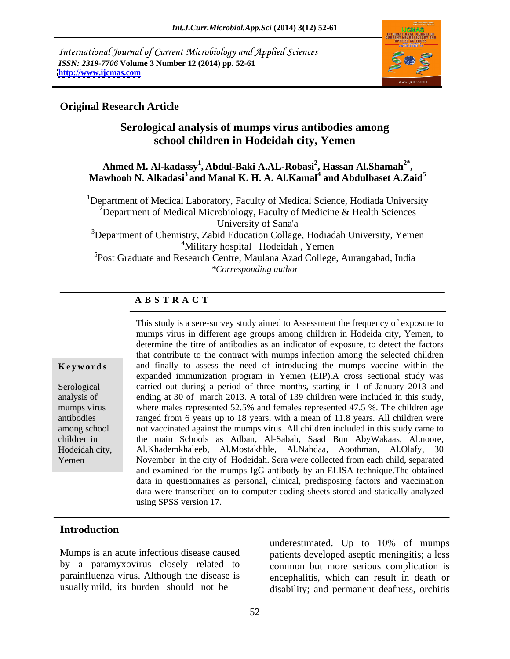International Journal of Current Microbiology and Applied Sciences *ISSN: 2319-7706* **Volume 3 Number 12 (2014) pp. 52-61 <http://www.ijcmas.com>**



### **Original Research Article**

# **Serological analysis of mumps virus antibodies among school children in Hodeidah city, Yemen**

### **Ahmed M. Al-kadassy1 , Abdul-Baki A.AL-Robasi<sup>2</sup> , Hassan Al.Shamah2\*** Ahmed M. Al-kadassy<sup>1</sup>, Abdul-Baki A.AL-Robasi<sup>2</sup>, Hassan Al.Shamah<sup>2\*</sup>,<br>Mawhoob N. Alkadasi<sup>3</sup> and Manal K. H. A. Al.Kamal<sup>4</sup> and Abdulbaset A.Zaid<sup>5</sup> **and Abdulbaset A.Zaid<sup>5</sup>**

<sup>1</sup>Department of Medical Laboratory, Faculty of Medical Science, Hodiada University <sup>2</sup>Department of Medical Microbiology, Faculty of Medicine & Health Sciences University of Sana'a

 $3D$  Department of Chemistry, Zabid Education Collage, Hodiadah University, Yemen <sup>4</sup>Military hospital Hodeidah, Yemen

<sup>5</sup>Post Graduate and Research Centre, Maulana Azad College, Aurangabad, India *\*Corresponding author* 

## **A B S T R A C T**

**Keywords** and finally to assess the need of introducing the mumps vaccine within the Serological carried out during a period of three months, starting in 1 of January 2013 and analysis of ending at 30 of march 2013. A total of 139 children were included in this study, mumps virus where males represented 52.5% and females represented 47.5 %. The children age antibodies ranged from 6 years up to 18 years, with a mean of 11.8 years. All children were among school not vaccinated against the mumps virus. All children included in this study came to children in the main Schools as Adban, Al-Sabah, Saad Bun AbyWakaas, Al.noore, Hodeidah city, Al.Khademkhaleeb, Al.Mostakhble, Al.Nahdaa, Aoothman, Al.Olafy, 30 Yemen November in the city of Hodeidah. Sera were collected from each child, separated This study is a sere-survey study aimed to Assessment the frequency of exposure to mumps virus in different age groups among children in Hodeida city, Yemen, to determine the titre of antibodies as an indicator of exposure, to detect the factors that contribute to the contract with mumps infection among the selected children expanded immunization program in Yemen (EIP).A cross sectional study was and examined for the mumps IgG antibody by an ELISA technique.The obtained data in questionnaires as personal, clinical, predisposing factors and vaccination data were transcribed on to computer coding sheets stored and statically analyzed using SPSS version 17.

# **Introduction**

by a paramyxovirus closely related to common but more serious complication is parainfluenza virus. Although the disease is

Mumps is an acute infectious disease caused patients developed aseptic meningitis; a less usually mild, its burden should not be disability; and permanent deafness, orchitis underestimated. Up to 10% of mumps encephalitis, which can result in death or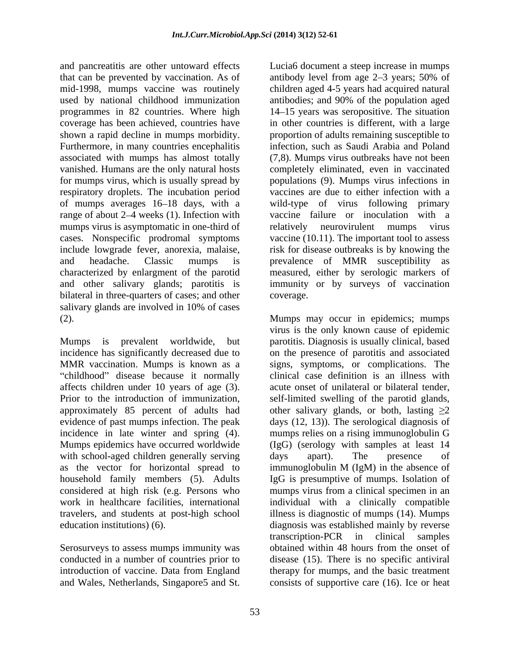and pancreatitis are other untoward effects Furthermore, in many countries encephalitis respiratory droplets. The incubation period mumps virus is asymptomatic in one-third of elatively neurovirulent mumps virus cases. Nonspecific prodromal symptoms bilateral in three-quarters of cases; and other coverage. salivary glands are involved in 10% of cases

affects children under 10 years of age (3). incidence in late winter and spring (4). with school-aged children generally serving days apart). The presence of as the vector for horizontal spread to immunoglobulin M (IgM) in the absence of

Serosurveys to assess mumps immunity was

that can be prevented by vaccination. As of antibody level from age 2–3 years; 50% of mid-1998, mumps vaccine was routinely children aged 4-5 years had acquired natural used by national childhood immunization antibodies; and 90% of the population aged programmes in 82 countries. Where high 14 15 years was seropositive. The situation coverage has been achieved, countries have in other countries is different, with a large shown a rapid decline in mumps morbidity. proportion of adults remaining susceptible to associated with mumps has almost totally (7,8). Mumps virus outbreaks have not been vanished. Humans are the only natural hosts completely eliminated, even in vaccinated for mumps virus, which is usually spread by populations (9). Mumps virus infections in of mumps averages 16 18 days, with a wild-type of virus following primary range of about 2–4 weeks (1). Infection with vaccine failure or inoculation with a include lowgrade fever, anorexia, malaise, risk for disease outbreaks is by knowing the and headache. Classic mumps is prevalence of MMR susceptibility as characterized by enlargment of the parotid measured, either by serologic markers of and other salivary glands; parotitis is immunity or by surveys of vaccination infection, such as Saudi Arabia and Poland vaccines are due to either infection with a relatively neurovirulent vaccine (10.11). The important tool to assess coverage.

(2). Mumps may occur in epidemics; mumps Mumps is prevalent worldwide, but parotitis. Diagnosis is usually clinical, based incidence has significantly decreased due to on the presence of parotitis and associated MMR vaccination. Mumps is known as a signs, symptoms, or complications. The childhood" disease because it normally clinical case definition is an illness with Prior to the introduction of immunization, self-limited swelling of the parotid glands, approximately 85 percent of adults had other salivary glands, or both, lasting  $\geq 2$ evidence of past mumps infection. The peak days (12, 13)). The serological diagnosis of Mumps epidemics have occurred worldwide (IgG) (serology with samples at least 14 household family members (5). Adults IgG is presumptive of mumps. Isolation of considered at high risk (e.g. Persons who mumps virus from a clinical specimen in an work in healthcare facilities, international individual with a clinically compatible travelers, and students at post-high school illness is diagnostic of mumps (14). Mumps education institutions) (6). diagnosis was established mainly by reverse conducted in a number of countries prior to disease (15). There is no specific antiviral introduction of vaccine. Data from England therapy for mumps, and the basic treatment and parecelisit are only mumps vector in the steep increase in mumps vector of the steep increase in mumps vector was noticely the diable upst 4-5 years has a properties of the steep increase in the steep increase in the virus is the only known cause of epidemic acute onset of unilateral or bilateral tender, mumps relies on a rising immunoglobulin G days apart). The presence of immunoglobulin M (IgM) in the absence of transcription-PCR in clinical samples obtained within 48 hours from the onset of consists of supportive care (16). Ice or heat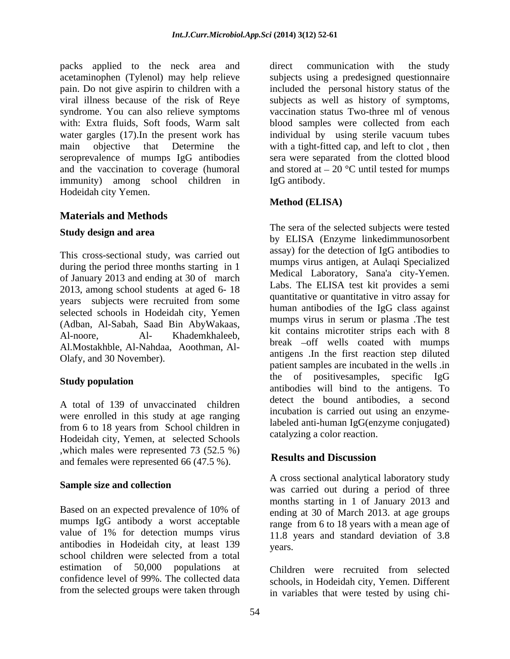packs applied to the neck area and direct communication with the study acetaminophen (Tylenol) may help relieve subjects using a predesigned questionnaire pain. Do not give aspirin to children with a included the personal history status of the viral illness because of the risk of Reye subjects as well as history of symptoms, syndrome. You can also relieve symptoms vaccination status Two-three ml of venous with: Extra fluids, Soft foods, Warm salt blood samples were collected from each water gargles (17).In the present work has individual by using sterile vacuum tubes main objective that Determine the with a tight-fitted cap, and left to clot , then seroprevalence of mumps IgG antibodies and the vaccination to coverage (humoral and stored at  $-20$  °C until tested for mumps immunity) among school children in Hodeidah city Yemen.

# **Materials and Methods**

### **Study design and area**

This cross-sectional study, was carried out during the period three months starting in 1 of January 2013 and ending at 30 of march 2013, among school students at aged 6- 18 years subjects were recruited from some selected schools in Hodeidah city, Yemen (Adban, Al-Sabah, Saad Bin AbyWakaas, Al.Mostakhble, Al-Nahdaa, Aoothman, Al- Olafy, and 30 November).

A total of 139 of unvaccinated children were enrolled in this study at age ranging from 6 to 18 years from School children in Hodeidah city, Yemen, at selected Schools which males were represented 73 (52.5 %)<br>and famelia were represented  $66$  (47.5 %)<br>Results and Discussion and females were represented 66 (47.5 %).

Based on an expected prevalence of 10% of ending at 30 of March 2013, at age groups mumps IgG antibody a worst acceptable value of 1% for detection mumps virus antibodies in Hodeidah city, at least 139 vears. school children were selected from a total estimation of 50,000 populations at confidence level of 99%. The collected data schools, in Hodeidah city, Yemen. Different from the selected groups were taken through

direct communication with the study sera were separated from the clotted blood IgG antibody.

# **Method (ELISA)**

Al-noore, Al- Khademkhaleeb, <sup>KI</sup> Coluating iniciouter strips each with o Study population **Study population Study population** The sera of the selected subjects were tested by ELISA (Enzyme linkedimmunosorbent assay) for the detection of IgG antibodies to mumps virus antigen, at Aulaqi Specialized Medical Laboratory, Sana'a city-Yemen. Labs. The ELISA test kit provides a semi quantitative or quantitative in vitro assay for human antibodies of the IgG class against mumps virus in serum or plasma .The test kit contains microtiter strips each with 8 break –off wells coated with mumps antigens .In the first reaction step diluted patient samples are incubated in the wells .in the of positivesamples, specific IgG antibodies will bind to the antigens. To detect the bound antibodies, a second incubation is carried out using an enzymelabeled anti-human IgG(enzyme conjugated) catalyzing a color reaction.

# **Results and Discussion**

**Sample size and collection**<br>
was carried out during a period of three A cross sectional analytical laboratory study months starting in 1 of January 2013 and ending at 30 of March 2013. at age groups range from 6 to 18 years with a mean age of 11.8 years and standard deviation of 3.8 years.

> Children were recruited from selected in variables that were tested by using chi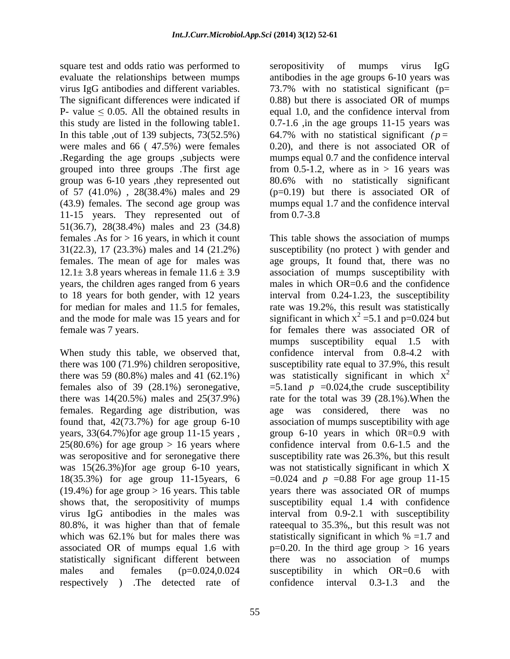square test and odds ratio was performed to seropositivity of mumps virus IgG P- value  $\leq 0.05$ . All the obtained results in In this table ,out of 139 subjects, 73(52.5%) of 57 (41.0%) , 28(38.4%) males and 29 11-15 years. They represented out of from 0.7-3.8 51(36.7), 28(38.4%) males and 23 (34.8) years, the children ages ranged from 6 years

there was 59  $(80.8\%)$  males and 41  $(62.1\%)$ females also of 39 (28.1%) seronegative, females. Regarding age distribution, was years, 33(64.7%)for age group 11-15 years ,  $25(80.6\%)$  for age group  $> 16$  years where 18(35.3%) for age group 11-15years, 6 which was 62.1% but for males there was statistically significant in which  $% = 1.7$  and respectively ) .The detected rate of confidence interval 0.3-1.3 and the

evaluate the relationships between mumps antibodies in the age groups 6-10 years was virus IgG antibodies and different variables. 73.7% with no statistical significant (p= The significant differences were indicated if 0.88) but there is associated OR of mumps this study are listed in the following table1. 0.7-1.6 ,in the age groups 11-15 years was were males and 66 ( 47.5%) were females 0.20), and there is not associated OR of .Regarding the age groups ,subjects were mumps equal 0.7 and the confidence interval grouped into three groups .The first age from 0.5-1.2, where as in > 16 years was group was 6-10 years ,they represented out 80.6% with no statistically significant (43.9) females. The second age group was mumps equal 1.7 and the confidence interval seropositivity of mumps virus IgG equal 1.0, and the confidence interval from 64.7% with no statistical significant *(p=* (p=0.19) but there is associated OR of from 0.7-3.8

females .As for > 16 years, in which it count This table shows the association of mumps 31(22.3), 17 (23.3%) males and 14 (21.2%) susceptibility (no protect ) with gender and females. The mean of age for males was age groups, It found that, there was no  $12.1 \pm 3.8$  years whereas in female  $11.6 \pm 3.9$  association of mumps susceptibility with to 18 years for both gender, with 12 years interval from 0.24-1.23, the susceptibility for median for males and 11.5 for females, rate was 19.2%, this result was statistically and the mode for male was 15 years and for significant in which  $x^2 = 5.1$  and p=0.024 but female was 7 years. for females there was associated OR of When study this table, we observed that, confidence interval from 0.8-4.2 with there was 100 (71.9%) children seropositive, susceptibility rate equal to 37.9%, this result there was  $14(20.5%)$  males and  $25(37.9%)$  rate for the total was 39  $(28.1%)$ . When the found that, 42(73.7%) for age group 6-10 association of mumps susceptibility with age was seropositive and for seronegative there susceptibility rate was 26.3%, but this result was 15(26.3%)for age group 6-10 years, was not statistically significant in which X (19.4%) for age group > 16 years. This table years there was associated OR of mumps shows that, the seropositivity of mumps susceptibility equal 1.4 with confidence virus IgG antibodies in the males was interval from 0.9-2.1 with susceptibility 80.8%, it was higher than that of female rateequal to 35.3%,, but this result was not associated OR of mumps equal 1.6 with  $p=0.20$ . In the third age group  $> 16$  years statistically significant different between there was no association of mumps males and females (p=0.024,0.024 susceptibility in which OR=0.6 with males in which OR=0.6 and the confidence mumps susceptibility equal 1.5 with was statistically significant in which  $x^2$ 2  $=5.1$ and  $p = 0.024$ , the crude susceptibility age was considered, there was no group 6-10 years in which 0R=0.9 with confidence interval from 0.6-1.5 and the  $=0.024$  and *p*  $=0.88$  For age group 11-15 statistically significant in which % =1.7 and susceptibility in which OR=0.6 with confidence interval 0.3-1.3 and the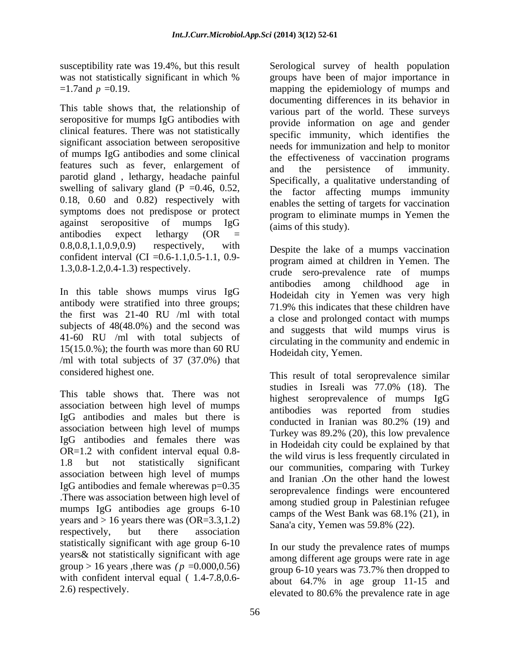This table shows that, the relationship of seropositive for mumps IgG antibodies with clinical features. There was not statistically significant association between seropositive of mumps IgG antibodies and some clinical features such as fever, enlargement of and the persistence of immunity. parotid gland , lethargy, headache painful swelling of salivary gland (P =  $0.46$ , 0.52, 0.18, 0.60 and 0.82) respectively with symptoms does not predispose or protect antibodies expect lethargy (OR =  $\left($  =  $\right)$ ).  $(0.8, 0.8, 1.1, 0.9, 0.9)$  respectively, with Despite the lake of a mumps vaccination confident interval (CI =0.6-1.1,0.5-1.1, 0.9-

In this table shows mumps virus IgG antibody were stratified into three groups; the first was 21-40 RU /ml with total subjects of 48(48.0%) and the second was 41-60 RU /ml with total subjects of  $15(15.0.%)$ ; the fourth was more than 60 RU /ml with total subjects of 37 (37.0%) that

This table shows that. There was not association between high level of mumps IgG antibodies and males but there is conducted in Iranian was 80.2% (19) and association between high level of mumps IgG antibodies and females there was OR=1.2 with confident interval equal 0.8 association between high level of mumps IgG antibodies and female wherewas p=0.35 .There was association between high level of mumps IgG antibodies age groups  $6-10$  among statical group in Factorian relationships and camps of the West Bank was  $68.1\%$  (21), in years and  $> 16$  years there was (OR=3.3,1.2) respectively, but there association  $\mathbb{R}^n$ ,  $\mathbb{R}^n$ ,  $\mathbb{R}^n$ ,  $\mathbb{R}^n$ ,  $\mathbb{R}^n$ ,  $\mathbb{R}^n$ ,  $\mathbb{R}^n$ ,  $\mathbb{R}^n$ ,  $\mathbb{R}^n$ ,  $\mathbb{R}^n$ ,  $\mathbb{R}^n$ ,  $\mathbb{R}^n$ ,  $\mathbb{R}^n$ ,  $\mathbb{R}^n$ ,  $\mathbb{R}^n$ ,  $\mathbb{$ statistically significant with age group 6-10 years& not statistically significant with age group > 16 years , there was  $(p = 0.000, 0.56)$ with confident interval equal ( 1.4-7.8,0.6-

susceptibility rate was 19.4%, but this result Serological survey of health population was not statistically significant in which % groups have been of major importance in  $=1.7$ and  $p = 0.19$ . against seropositive of mumps  $I gG$   $\qquad$   $\qquad$   $\qquad$   $\qquad$   $\qquad$   $\qquad$   $\qquad$   $\qquad$   $\qquad$   $\qquad$   $\qquad$   $\qquad$   $\qquad$   $\qquad$   $\qquad$   $\qquad$   $\qquad$   $\qquad$   $\qquad$   $\qquad$   $\qquad$   $\qquad$   $\qquad$   $\qquad$   $\qquad$   $\qquad$   $\qquad$   $\qquad$   $\qquad$   $\qquad$   $\qquad$ documenting differences in its behavior in various part of the world. These surveys provide information on age and gender specific immunity, which identifies the needs for immunization and help to monitor the effectiveness of vaccination programs and the persistence of immunity. Specifically, a qualitative understanding of the factor affecting mumps immunity enables the setting of targets for vaccination program to eliminate mumps in Yemen the (aims of this study).

1.3,0.8-1.2,0.4-1.3) respectively. crude sero-prevalence rate of mumps program aimed at children in Yemen. The antibodies among childhood age in Hodeidah city in Yemen was very high 71.9% this indicates that these children have a close and prolonged contact with mumps and suggests that wild mumps virus is circulating in the community and endemic in Hodeidah city, Yemen.

considered highest one. This result of total seroprevalence similar 1.8 but not statistically significant our communities, comparing with Turkey studies in Isreali was 77.0% (18). The highest seroprevalence of mumps IgG antibodies was reported from studies conducted in Iranian was 80.2% (19) and Turkey was 89.2% (20), this low prevalence in Hodeidah city could be explained by that the wild virus is less frequently circulated in and Iranian .On the other hand the lowest seroprevalence findings were encountered among studied group in Palestinian refugee camps of the West Bank was 68.1% (21), in Sana'a city, Yemen was 59.8% (22).

2.6) respectively.<br>
elevated to 80.6% the prevalence rate in age In our study the prevalence rates of mumps among different age groups were rate in age group 6-10 years was 73.7% then dropped to about 64.7% in age group 11-15 and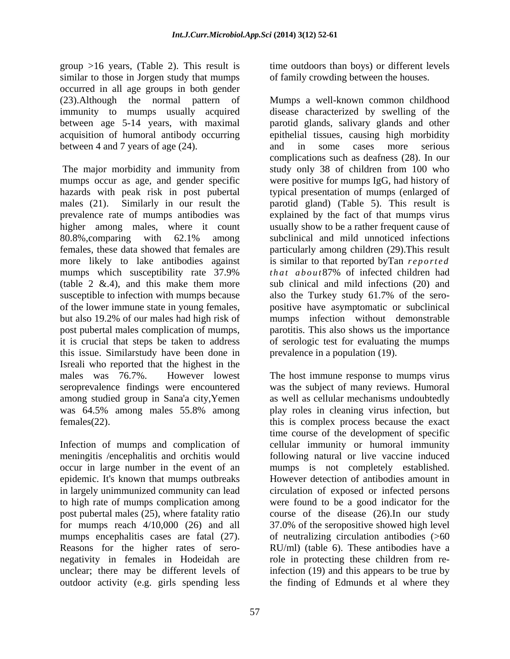group >16 years, (Table 2). This result is time outdoors than boys) or different levels similar to those in Jorgen study that mumps occurred in all age groups in both gender between 4 and 7 years of age (24). and in some cases more serious

(table 2  $\&$ .4), and this make them more it is crucial that steps be taken to address this issue. Similarstudy have been done in Isreali who reported that the highest in the males was 76.7%. However lowest The host immune response to mumps virus seroprevalence findings were encountered among studied group in Sana'a city,Yemen as well as cellular mechanisms undoubtedly was 64.5% among males 55.8% among play roles in cleaning virus infection, but females(22). this is complex process because the exact

epidemic. It's known that mumps outbreaks mumps encephalitis cases are fatal  $(27)$ . Reasons for the higher rates of sero negativity in females in Hodeidah are some role in protecting these children from reunclear; there may be different levels of outdoor activity (e.g. girls spending less

of family crowding between the houses.

(23).Although the normal pattern of Mumps a well-known common childhood immunity to mumps usually acquired disease characterized by swelling of the between age 5-14 years, with maximal parotid glands, salivary glands and other acquisition of humoral antibody occurring epithelial tissues, causing high morbidity The major morbidity and immunity from study only 38 of children from 100 who mumps occur as age, and gender specific were positive for mumps IgG, had history of hazards with peak risk in post pubertal typical presentation of mumps (enlarged of males (21). Similarly in our result the parotid gland) (Table 5). This result is prevalence rate of mumps antibodies was explained by the fact of that mumps virus higher among males, where it count usually show to be a rather frequent cause of 80.8%,comparing with 62.1% among subclinical and mild unnoticed infections females, these data showed that females are particularly among children (29).This result more likely to lake antibodies against is similar to that reported by Tan *reported* mumps which susceptibility rate 37.9% that about 87% of infected children had susceptible to infection with mumps because also the Turkey study 61.7% of the sero of the lower immune state in young females, positive have asymptomatic or subclinical but also 19.2% of our males had high risk of mumps infection without demonstrable post pubertal males complication of mumps, parotitis. This also shows us the importance and in some cases more serious complications such as deafness (28). In our *t h a t a b o u t* 87% of infected children had sub clinical and mild infections (20) and of serologic test for evaluating the mumps prevalence in a population (19).

Infection of mumps and complication of cellular immunity or humoral immunity meningitis /encephalitis and orchitis would following natural or live vaccine induced occur in large number in the event of an mumps is not completely established. in largely unimmunized community can lead circulation of exposed or infected persons to high rate of mumps complication among were found to be a good indicator for the post pubertal males (25), where fatality ratio course of the disease (26).In our study for mumps reach 4/10,000 (26) and all 37.0% of the seropositive showed high level was the subject of many reviews. Humoral time course of the development of specific However detection of antibodies amount in of neutralizing circulation antibodies (>60 RU/ml) (table 6). These antibodies have a role in protecting these children from reinfection (19) and this appears to be true by the finding of Edmunds et al where they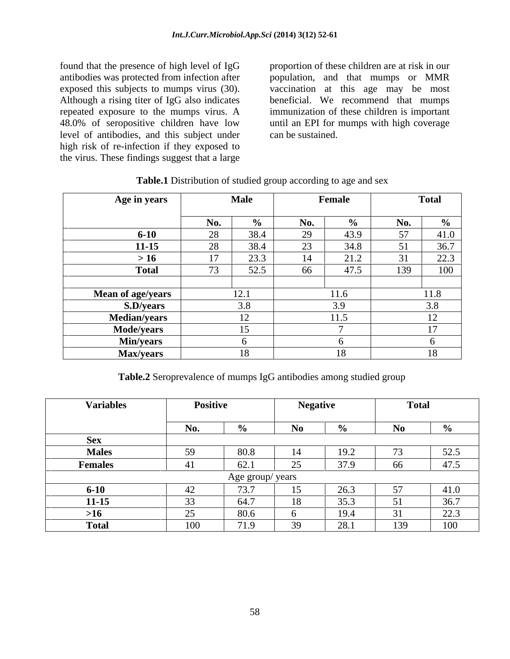found that the presence of high level of IgG proportion of these children are at risk in our level of antibodies, and this subject under high risk of re-infection if they exposed to the virus. These findings suggest that a large

antibodies was protected from infection after population, and that mumps or MMR exposed this subjects to mumps virus (30). vaccination at this age may be most Although a rising titer of IgG also indicates beneficial. We recommend that mumps repeated exposure to the mumps virus. A immunization of these children is important 48.0% of seropositive children have low until an EPI for mumps with high coverage can be sustained.

| <b>Age in years</b>     | <b>Male</b>                       | Female     | <b>Total</b>    |
|-------------------------|-----------------------------------|------------|-----------------|
|                         |                                   |            |                 |
|                         | <b>No.</b>                        |            | N0.             |
| $6 - 10$                | 38.4                              | 43.9       | 41.0<br>57.     |
| $11 - 15$               | 38.4                              | 34.8       |                 |
| >16                     | 2.3.3                             | 21.2<br>14 | $\Omega$<br>44. |
| <b>Total</b>            | $\sim$ $\sim$<br>$J\mathcal{L}.J$ | 47.5       | 139<br>$\sim$   |
|                         |                                   |            |                 |
| Mean of age/years       | 12.1                              | 11.6       | 11.8            |
| S.D/years               | 3.8                               | 3.9        | 38              |
| Median/years            | 12                                | 11.5       |                 |
|                         | 15                                |            |                 |
| Mode/years<br>Min/years |                                   |            |                 |
| <b>Max/years</b>        | 18                                | 18         | 1 O             |

| <b>Table.1</b> Distribution of studied group according to age and sex |  |
|-----------------------------------------------------------------------|--|
|                                                                       |  |

**Table.2** Seroprevalence of mumps IgG antibodies among studied group

| <b>Variables</b> | <b>Positive</b> |                 | <b>Negative</b> |               | $T_{\alpha}$ tol |            |
|------------------|-----------------|-----------------|-----------------|---------------|------------------|------------|
|                  |                 |                 |                 |               |                  |            |
|                  | N <sub>n</sub>  |                 |                 |               |                  |            |
| Next of the set  |                 |                 |                 |               |                  |            |
| <b>Males</b>     |                 | ס טט            |                 | L ノ •∠        |                  | ເາ ເ<br>۷۵ |
| <b>Females</b>   |                 |                 |                 | $\sim$ $\sim$ | 66               | 17E        |
|                  |                 | Age group/vears |                 |               |                  |            |
| $6 - 10$         |                 |                 |                 |               |                  |            |
| $11 - 15$        |                 |                 |                 |               |                  |            |
|                  |                 |                 |                 |               |                  |            |
| Total            | 100             | $71 \Omega$     |                 | 28.1          | 120              | 100        |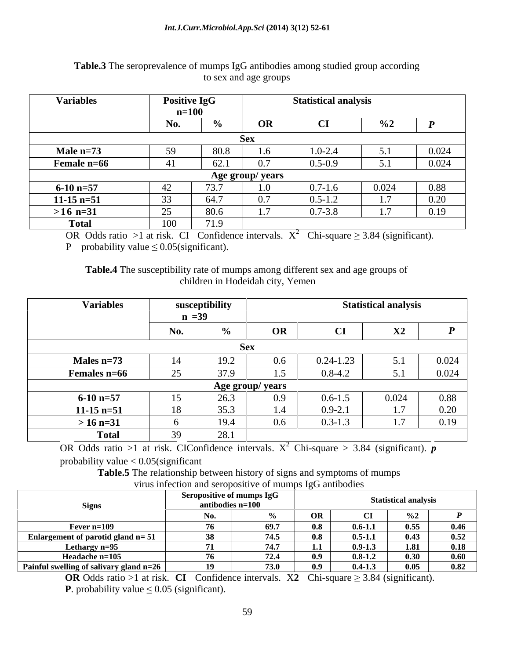| <b>Variables</b>   | <b>Positive IgG</b> |              | <b>Statistical analys</b> |  |  |
|--------------------|---------------------|--------------|---------------------------|--|--|
|                    | $n = 100$           |              |                           |  |  |
|                    |                     |              |                           |  |  |
|                    |                     |              |                           |  |  |
| Male $n=73$        |                     |              |                           |  |  |
| <b>Female n=66</b> | 4 I                 |              |                           |  |  |
|                    |                     | Age group/ y |                           |  |  |
| 6-10 n=57          |                     |              |                           |  |  |
| $11-15$ n=51       |                     |              |                           |  |  |
| $>16$ n=31         |                     | 80 f         | $\sim$ $ \sim$ $\sim$     |  |  |
| Total              | $-100$<br>1 VV      | 710<br>.     |                           |  |  |

# **Table.3** The seroprevalence of mumps IgG antibodies among studied group according to sex and age groups

OR Odds ratio >1 at risk. CI Confidence intervals.  $X^2$  Chi-square  $\geq 3.84$  (significant).

P probability value  $\leq 0.05$ (significant).

**Table.4** The susceptibility rate of mumps among different sex and age groups of children in Hodeidah city, Yemen

| <b>Variables</b>      | susceptibili |                       |         |             | <b>Statistical analysis</b> |                                                                            |
|-----------------------|--------------|-----------------------|---------|-------------|-----------------------------|----------------------------------------------------------------------------|
|                       |              |                       |         |             |                             |                                                                            |
|                       |              |                       | OR      |             | $\Lambda$                   |                                                                            |
|                       |              |                       |         |             |                             |                                                                            |
| Males $n=7$           |              |                       |         |             |                             |                                                                            |
| <b>Females n=66</b>   |              |                       | $1.5$ 1 | $0.8 - 4.2$ |                             | 0.024                                                                      |
|                       |              | <b>Age group/year</b> |         |             |                             |                                                                            |
| $6-10 n=57$           |              |                       |         | $106 - 12$  |                             | 0.88                                                                       |
| $11-15$ n=51          |              |                       |         |             |                             |                                                                            |
| $> 16 \text{ n} = 31$ |              |                       | 0.6     | $0.3 - 1.3$ |                             | 0.19                                                                       |
| <b>Total</b>          |              |                       |         |             |                             | the control of the control of the control of the control of the control of |

OR Odds ratio >1 at risk. CIConfidence intervals.  $X^2$  Chi-square > 3.84 (significant).  $p$ <sup>2</sup> Chi-square > 3.84 (significant).  $p$ 

probability value < 0.05(significant

**Table.5** The relationship between history of signs and symptoms of mumps virus infection and seropositive of mumps IgG antibodies

|                                                                      | antibodies n=100 |                                                  |            | <b>Statistical analysis</b> |             |
|----------------------------------------------------------------------|------------------|--------------------------------------------------|------------|-----------------------------|-------------|
|                                                                      |                  |                                                  |            |                             |             |
| and the state of the state of the<br><b>Ever n=109</b>               |                  | - 88 N                                           |            |                             |             |
| <b>Enlargement of parotid gl</b>                                     |                  | - 08 -                                           |            |                             |             |
| ethargy $n=9$ .                                                      |                  |                                                  |            |                             | 0.18        |
|                                                                      |                  |                                                  |            |                             | <u>ሰ ሪሀ</u> |
| <b>Example 1918</b><br><b>Painful swelling of salivary gland n=2</b> |                  | 691<br>$\sim$ $\sim$ $\sim$ $\sim$ $\sim$ $\sim$ | - 1121 T 2 | l 005                       | 0.82        |

**OR** Odds ratio >1 at risk. **CI** Confidence intervals. X2 Chi-square  $\geq 3.84$  (significant).

**P**. probability value  $\leq 0.05$  (significant).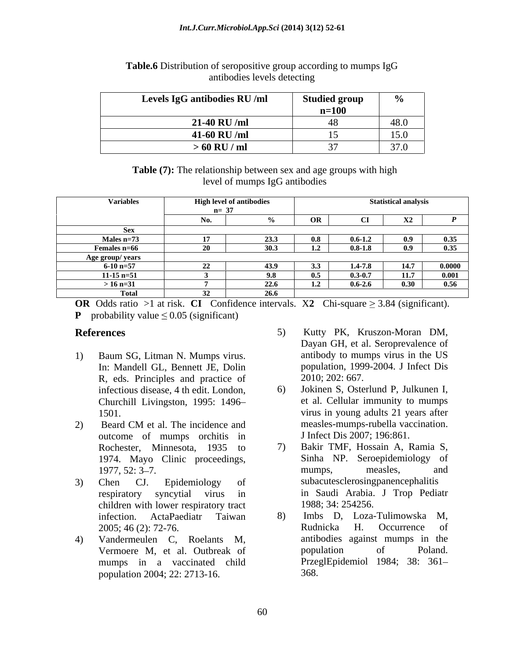| Levels IgG antibodies RU/ml | Studied group        |                       |
|-----------------------------|----------------------|-----------------------|
|                             | $n-10$<br>$11 - 100$ |                       |
| 21-40 RU /ml                |                      |                       |
| 41-60 RU /ml                |                      | $1 - \alpha$          |
| $>60$ RU / ml               |                      | $\sim$ $\cdot$ $\sim$ |

## **Table.6** Distribution of seropositive group according to mumps IgG antibodies levels detecting

**Table (7):** The relationship between sex and age groups with high level of mumps IgG antibodies

| Variable <sup>,</sup> | <b>High level of antibodies</b> |         | <b>Statistical analysis</b> |   |
|-----------------------|---------------------------------|---------|-----------------------------|---|
|                       |                                 |         |                             |   |
|                       |                                 |         |                             |   |
|                       |                                 |         |                             |   |
| Male                  |                                 |         |                             |   |
| <b>Females n=66</b>   |                                 | 0 X.I X |                             |   |
| Age group/years       |                                 |         |                             |   |
|                       |                                 |         |                             |   |
| $.1 - 15$ n=51        |                                 |         |                             | . |
| in n=.•i              |                                 | V.6-2.6 |                             |   |
|                       |                                 |         |                             |   |

**OR** Odds ratio >1 at risk. **CI** Confidence intervals. X2 Chi-square  $\geq 3.84$  (significant). **P** probability value  $\leq 0.05$  (significant)

- 1) Baum SG, Litman N. Mumps virus. In: Mandell GL, Bennett JE, Dolin R, eds. Principles and practice of infectious disease, 4 th edit. London, Churchill Livingston, 1995: 1496
- 2) Beard CM et al. The incidence and measles-mumps-rubella vaccination. outcome of mumps orchitis in Rochester, Minnesota, 1935 to 1974. Mayo Clinic proceedings,
- children with lower respiratory tract infection. ActaPaediatr Taiwan
- 4) Vandermeulen C, Roelants M, mumps in a vaccinated child population 2004; 22: 2713-16.
- **References** 5) Kutty PK, Kruszon-Moran DM, Dayan GH, et al. Seroprevalence of antibody to mumps virus in the US population, 1999-2004. J Infect Dis 2010; 202: 667.
	- 1501. virus in young adults 21 years after 6) Jokinen S, Osterlund P, Julkunen I, et al. Cellular immunity to mumps measles-mumps-rubella vaccination. J Infect Dis 2007; 196:861.
- 1977, 52: 3–7. mumps, measles, and 3) Chen CJ. Epidemiology of subacutesclerosingpanencephalitis respiratory syncytial virus in in Saudi Arabia. J Trop Pediatr 7) Bakir TMF, Hossain A, Ramia S, Sinha NP. Seroepidemiology of mumps, measles, and 1988; 34: 254256.
	- 2005; 46 (2): 72-76. Rudnicka H. Occurrence of Vermoere M, et al. Outbreak of 8) Imbs D, Loza-Tulimowska M, Rudnicka H. Occurrence of antibodies against mumps in the population of Poland. PrzeglEpidemiol 1984; 38: 361 368.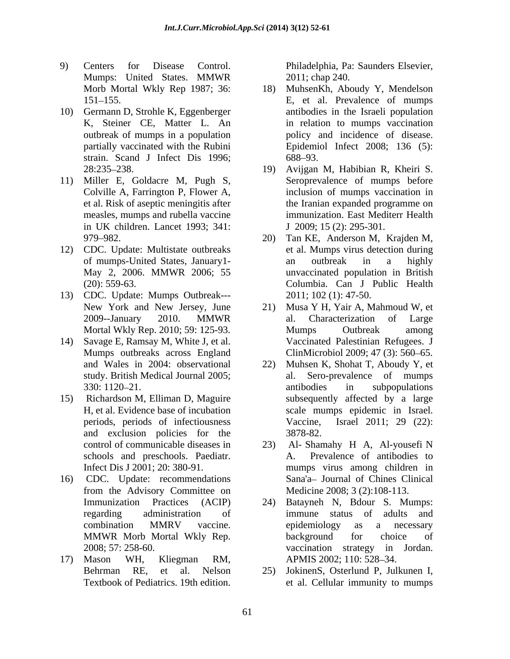- 9) Centers for Disease Control. Philadelphia, Pa: Saunders Elsevier, Mumps: United States. MMWR 2011; chap 240.
- 10) Germann D, Strohle K, Eggenberger strain. Scand J Infect Dis 1996: 688–93.
- 11) Miller E, Goldacre M, Pugh S, et al. Risk of aseptic meningitis after measles, mumps and rubella vaccine
- 12) CDC. Update: Multistate outbreaks May 2, 2006. MMWR 2006; 55
- 13) CDC. Update: Mumps Outbreak---
- 14) Savage E, Ramsay M, White J, et al. study. British Medical Journal 2005;
- 15) Richardson M, Elliman D, Maguire and exclusion policies for the 3878-82. schools and preschools. Paediatr.
- 16) CDC. Update: recommendations
- 17) Mason WH, Kliegman RM,

2011; chap 240.

- Morb Mortal Wkly Rep 1987; 36: 18) MuhsenKh, Aboudy Y, Mendelson 151 155. E, et al. Prevalence of mumps K, Steiner CE, Matter L. An in relation to mumps vaccination outbreak of mumps in a population policy and incidence of disease. partially vaccinated with the Rubini Epidemiol Infect 2008; 136 (5): antibodies in the Israeli population  $688 - 93.$
- 28:235 238. 19) Avijgan M, Habibian R, Kheiri S. Colville A, Farrington P, Flower A, inclusion of mumps vaccination in in UK children. Lancet 1993; 341: J 2009; 15 (2): 295-301. Seroprevalence of mumps before the Iranian expanded programme on immunization. East Mediterr Health J 2009; 15 (2): 295-301.
- 979 982. 20) Tan KE, Anderson M, Krajden M, of mumps-United States, January1- (20): 559-63. Columbia. Can J Public Health et al. Mumps virus detection during an outbreak in a highly unvaccinated population in British 2011; 102 (1): 47-50.
- New York and New Jersey, June 21) Musa Y H, Yair A, Mahmoud W, et 2009--January 2010. MMWR Mortal Wkly Rep. 2010; 59: 125-93. Mumps outbreaks across England ClinMicrobiol 2009; 47 (3): 560–65. 21) Musa Y H, Yair A, Mahmoud W, et al. Characterization of Large Mumps Outbreak among Vaccinated Palestinian Refugees. J
- and Wales in 2004: observational 22) Muhsen K, Shohat T, Aboudy Y, et 330: 1120–21. antibodies in subpopulations H, et al. Evidence base of incubation scale mumps epidemic in Israel. periods, periods of infectiousness Vaccine, Israel 2011; 29 (22): Sero-prevalence of mumps antibodies in subpopulations subsequently affected by a large Vaccine, Israel 2011; 29 (22): 3878-82.
- control of communicable diseases in 23) Al- Shamahy H A, Al-yousefi N Infect Dis J 2001; 20: 380-91. mumps virus among children in from the Advisory Committee on Medicine 2008; 3 (2):108-113. 23) Al- Shamahy H A, Al-yousefi N Prevalence of antibodies to Sana'a- Journal of Chines Clinical Medicine 2008; 3 (2):108-113.
- Immunization Practices (ACIP) 24) Batayneh N, Bdour S. Mumps: regarding administration of combination MMRV vaccine. MMWR Morb Mortal Wkly Rep. 2008; 57: 258-60. vaccination strategy in Jordan. immune status of adults and epidemiology as a necessary background for choice of vaccination strategy in Jordan. APMIS 2002; 110: 528–34.
- Behrman RE, et al. Nelson 25) JokinenS, Osterlund P, Julkunen I, Textbook of Pediatrics. 19th edition. et al. Cellular immunity to mumps